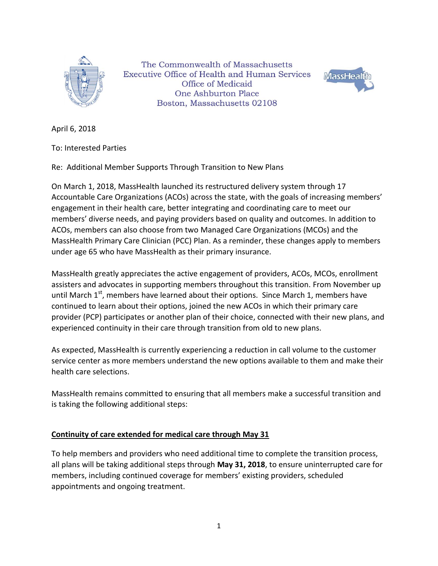

The Commonwealth of Massachusetts **Executive Office of Health and Human Services** Office of Medicaid One Ashburton Place Boston, Massachusetts 02108



April 6, 2018

To: Interested Parties

Re: Additional Member Supports Through Transition to New Plans

On March 1, 2018, MassHealth launched its restructured delivery system through 17 Accountable Care Organizations (ACOs) across the state, with the goals of increasing members' engagement in their health care, better integrating and coordinating care to meet our members' diverse needs, and paying providers based on quality and outcomes. In addition to ACOs, members can also choose from two Managed Care Organizations (MCOs) and the MassHealth Primary Care Clinician (PCC) Plan. As a reminder, these changes apply to members under age 65 who have MassHealth as their primary insurance.

MassHealth greatly appreciates the active engagement of providers, ACOs, MCOs, enrollment assisters and advocates in supporting members throughout this transition. From November up until March  $1<sup>st</sup>$ , members have learned about their options. Since March 1, members have continued to learn about their options, joined the new ACOs in which their primary care provider (PCP) participates or another plan of their choice, connected with their new plans, and experienced continuity in their care through transition from old to new plans.

As expected, MassHealth is currently experiencing a reduction in call volume to the customer service center as more members understand the new options available to them and make their health care selections.

MassHealth remains committed to ensuring that all members make a successful transition and is taking the following additional steps:

## **Continuity of care extended for medical care through May 31**

To help members and providers who need additional time to complete the transition process, all plans will be taking additional steps through **May 31, 2018**, to ensure uninterrupted care for members, including continued coverage for members' existing providers, scheduled appointments and ongoing treatment.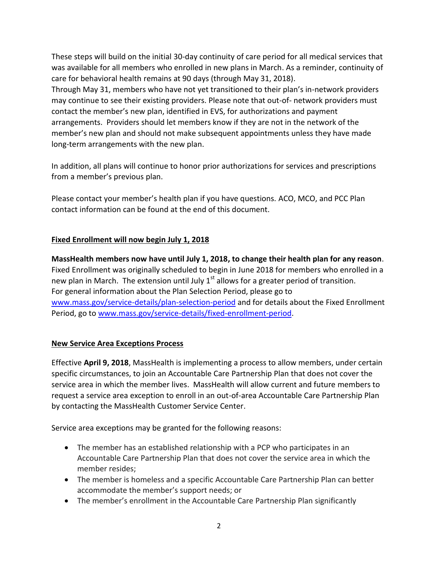These steps will build on the initial 30-day continuity of care period for all medical services that was available for all members who enrolled in new plans in March. As a reminder, continuity of care for behavioral health remains at 90 days (through May 31, 2018).

Through May 31, members who have not yet transitioned to their plan's in-network providers may continue to see their existing providers. Please note that out-of- network providers must contact the member's new plan, identified in EVS, for authorizations and payment arrangements. Providers should let members know if they are not in the network of the member's new plan and should not make subsequent appointments unless they have made long-term arrangements with the new plan.

In addition, all plans will continue to honor prior authorizations for services and prescriptions from a member's previous plan.

Please contact your member's health plan if you have questions. ACO, MCO, and PCC Plan contact information can be found at the end of this document.

## **Fixed Enrollment will now begin July 1, 2018**

**MassHealth members now have until July 1, 2018, to change their health plan for any reason**. Fixed Enrollment was originally scheduled to begin in June 2018 for members who enrolled in a new plan in March. The extension until July  $1<sup>st</sup>$  allows for a greater period of transition. For general information about the Plan Selection Period, please go to [www.mass.gov/service-details/plan-selection-period](http://www.mass.gov/service-details/plan-selection-period) and for details about the Fixed Enrollment Period, go to [www.mass.gov/service-details/fixed-enrollment-period.](http://www.mass.gov/service-details/fixed-enrollment-period)

## **New Service Area Exceptions Process**

Effective **April 9, 2018**, MassHealth is implementing a process to allow members, under certain specific circumstances, to join an Accountable Care Partnership Plan that does not cover the service area in which the member lives. MassHealth will allow current and future members to request a service area exception to enroll in an out-of-area Accountable Care Partnership Plan by contacting the MassHealth Customer Service Center.

Service area exceptions may be granted for the following reasons:

- The member has an established relationship with a PCP who participates in an Accountable Care Partnership Plan that does not cover the service area in which the member resides;
- The member is homeless and a specific Accountable Care Partnership Plan can better accommodate the member's support needs; or
- The member's enrollment in the Accountable Care Partnership Plan significantly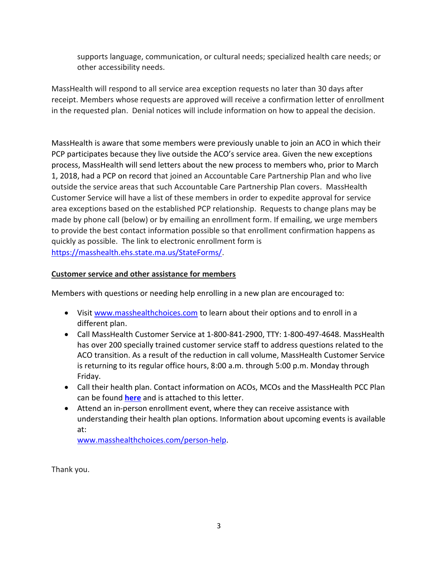supports language, communication, or cultural needs; specialized health care needs; or other accessibility needs.

MassHealth will respond to all service area exception requests no later than 30 days after receipt. Members whose requests are approved will receive a confirmation letter of enrollment in the requested plan. Denial notices will include information on how to appeal the decision.

MassHealth is aware that some members were previously unable to join an ACO in which their PCP participates because they live outside the ACO's service area. Given the new exceptions process, MassHealth will send letters about the new process to members who, prior to March 1, 2018, had a PCP on record that joined an Accountable Care Partnership Plan and who live outside the service areas that such Accountable Care Partnership Plan covers. MassHealth Customer Service will have a list of these members in order to expedite approval for service area exceptions based on the established PCP relationship. Requests to change plans may be made by phone call (below) or by emailing an enrollment form. If emailing, we urge members to provide the best contact information possible so that enrollment confirmation happens as quickly as possible. The link to electronic enrollment form is [https://masshealth.ehs.state.ma.us/StateForms/.](https://masshealth.ehs.state.ma.us/StateForms/)

## **Customer service and other assistance for members**

Members with questions or needing help enrolling in a new plan are encouraged to:

- Visit [www.masshealthchoices.com](file://///EHS-FP-QNY-121/JGambarini$/00000000rc%20letter/Robin%20final%20doc%200406/to%20Web/Debby%20edits/www.masshealthchoices.com%20) to learn about their options and to enroll in a different plan.
- Call MassHealth Customer Service at 1-800-841-2900, TTY: 1-800-497-4648. MassHealth has over 200 specially trained customer service staff to address questions related to the ACO transition. As a result of the reduction in call volume, MassHealth Customer Service is returning to its regular office hours, 8:00 a.m. through 5:00 p.m. Monday through Friday.
- Call their health plan. Contact information on ACOs, MCOs and the MassHealth PCC Plan can be found **[here](https://www.mass.gov/files/documents/2018/04/06/MassHealth-Health-Plan-Contact-Information.pdf)** and is attached to this letter.
- Attend an in-person enrollment event, where they can receive assistance with understanding their health plan options. Information about upcoming events is available at:

[www.masshealthchoices.com/person-help.](file://///EHS-FP-QNY-121/JGambarini$/00000000rc%20letter/Robin%20final%20doc%200406/to%20Web/Debby%20edits/www.masshealthchoices.com/person-help)

Thank you.